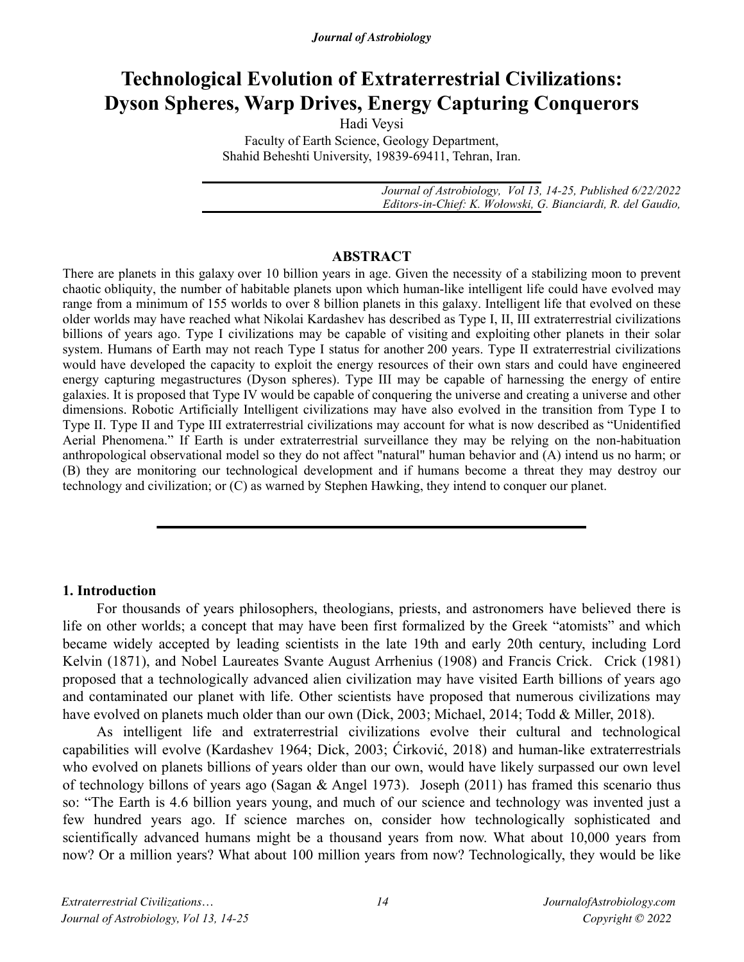# **Technological Evolution of Extraterrestrial Civilizations: Dyson Spheres, Warp Drives, Energy Capturing Conquerors**

Hadi Veysi Faculty of Earth Science, Geology Department, Shahid Beheshti University, 19839-69411, Tehran, Iran.

> *Journal of Astrobiology, Vol 13, 14-25, Published 6/22/2022 Editors-in-Chief: K. Wołowski, G. Bianciardi, R. del Gaudio,*

### **ABSTRACT**

There are planets in this galaxy over 10 billion years in age. Given the necessity of a stabilizing moon to prevent chaotic obliquity, the number of habitable planets upon which human-like intelligent life could have evolved may range from a minimum of 155 worlds to over 8 billion planets in this galaxy. Intelligent life that evolved on these older worlds may have reached what Nikolai Kardashev has described as Type I, II, III extraterrestrial civilizations billions of years ago. Type I civilizations may be capable of visiting and exploiting other planets in their solar system. Humans of Earth may not reach Type I status for another 200 years. Type II extraterrestrial civilizations would have developed the capacity to exploit the energy resources of their own stars and could have engineered energy capturing megastructures (Dyson spheres). Type III may be capable of harnessing the energy of entire galaxies. It is proposed that Type IV would be capable of conquering the universe and creating a universe and other dimensions. Robotic Artificially Intelligent civilizations may have also evolved in the transition from Type I to Type II. Type II and Type III extraterrestrial civilizations may account for what is now described as "Unidentified Aerial Phenomena." If Earth is under extraterrestrial surveillance they may be relying on the non-habituation anthropological observational model so they do not affect "natural" human behavior and (A) intend us no harm; or (B) they are monitoring our technological development and if humans become a threat they may destroy our technology and civilization; or (C) as warned by Stephen Hawking, they intend to conquer our planet.

### **1. Introduction**

For thousands of years philosophers, theologians, priests, and astronomers have believed there is life on other worlds; a concept that may have been first formalized by the Greek "atomists" and which became widely accepted by leading scientists in the late 19th and early 20th century, including Lord Kelvin (1871), and Nobel Laureates Svante August Arrhenius (1908) and Francis Crick. Crick (1981) proposed that a technologically advanced alien civilization may have visited Earth billions of years ago and contaminated our planet with life. Other scientists have proposed that numerous civilizations may have evolved on planets much older than our own (Dick, 2003; Michael, 2014; Todd & Miller, 2018).

 As intelligent life and extraterrestrial civilizations evolve their cultural and technological capabilities will evolve (Kardashev 1964; Dick, 2003; Ćirković, 2018) and human-like extraterrestrials who evolved on planets billions of years older than our own, would have likely surpassed our own level of technology billons of years ago (Sagan & Angel 1973). Joseph (2011) has framed this scenario thus so: "The Earth is 4.6 billion years young, and much of our science and technology was invented just a few hundred years ago. If science marches on, consider how technologically sophisticated and scientifically advanced humans might be a thousand years from now. What about 10,000 years from now? Or a million years? What about 100 million years from now? Technologically, they would be like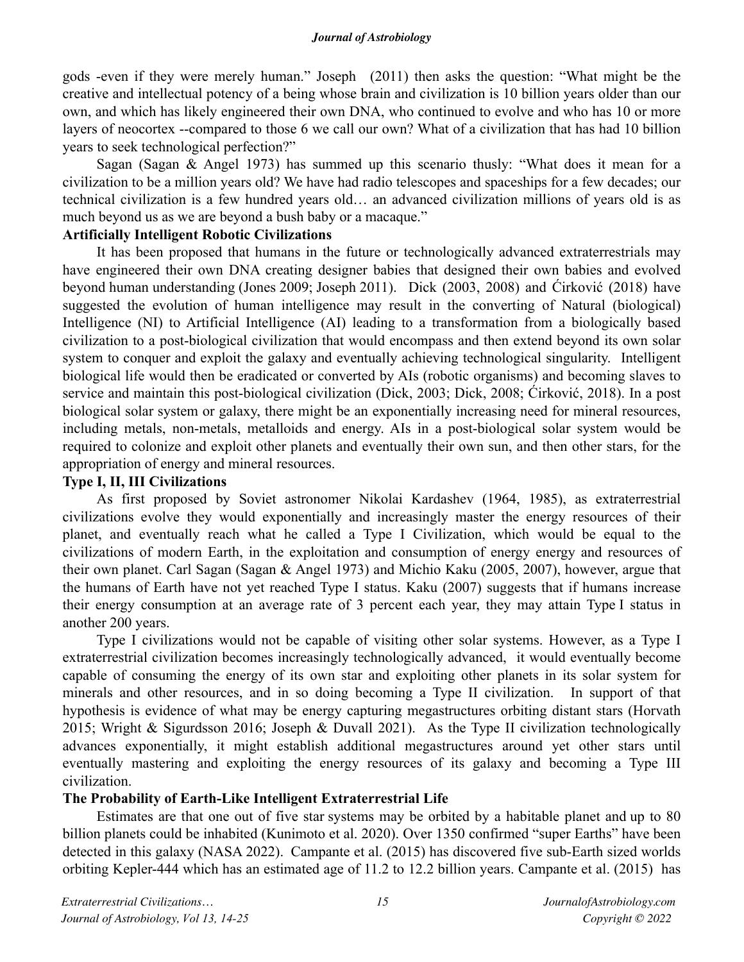gods -even if they were merely human." Joseph (2011) then asks the question: "What might be the creative and intellectual potency of a being whose brain and civilization is 10 billion years older than our own, and which has likely engineered their own DNA, who continued to evolve and who has 10 or more layers of neocortex --compared to those 6 we call our own? What of a civilization that has had 10 billion years to seek technological perfection?"

Sagan (Sagan & Angel 1973) has summed up this scenario thusly: "What does it mean for a civilization to be a million years old? We have had radio telescopes and spaceships for a few decades; our technical civilization is a few hundred years old… an advanced civilization millions of years old is as much beyond us as we are beyond a bush baby or a macaque."

### **Artificially Intelligent Robotic Civilizations**

It has been proposed that humans in the future or technologically advanced extraterrestrials may have engineered their own DNA creating designer babies that designed their own babies and evolved beyond human understanding (Jones 2009; Joseph 2011). Dick (2003, 2008) and Ćirković (2018) have suggested the evolution of human intelligence may result in the converting of Natural (biological) Intelligence (NI) to Artificial Intelligence (AI) leading to a transformation from a biologically based civilization to a post-biological civilization that would encompass and then extend beyond its own solar system to conquer and exploit the galaxy and eventually achieving technological singularity. Intelligent biological life would then be eradicated or converted by AIs (robotic organisms) and becoming slaves to service and maintain this post-biological civilization (Dick, 2003; Dick, 2008; Ćirković, 2018). In a post biological solar system or galaxy, there might be an exponentially increasing need for mineral resources, including metals, non-metals, metalloids and energy. AIs in a post-biological solar system would be required to colonize and exploit other planets and eventually their own sun, and then other stars, for the appropriation of energy and mineral resources.

## **Type I, II, III Civilizations**

As first proposed by Soviet astronomer Nikolai Kardashev (1964, 1985), as extraterrestrial civilizations evolve they would exponentially and increasingly master the energy resources of their planet, and eventually reach what he called a Type I Civilization, which would be equal to the civilizations of modern Earth, in the exploitation and consumption of energy energy and resources of their own planet. Carl Sagan (Sagan & Angel 1973) and Michio Kaku (2005, 2007), however, argue that the humans of Earth have not yet reached Type I status. Kaku (2007) suggests that if humans increase their energy consumption at an average rate of 3 percent each year, they may attain Type I status in another 200 years.

Type I civilizations would not be capable of visiting other solar systems. However, as a Type I extraterrestrial civilization becomes increasingly technologically advanced, it would eventually become capable of consuming the energy of its own star and exploiting other planets in its solar system for minerals and other resources, and in so doing becoming a Type II civilization. In support of that hypothesis is evidence of what may be energy capturing megastructures orbiting distant stars (Horvath 2015; Wright & Sigurdsson 2016; Joseph & Duvall 2021). As the Type II civilization technologically advances exponentially, it might establish additional megastructures around yet other stars until eventually mastering and exploiting the energy resources of its galaxy and becoming a Type III civilization.

# **The Probability of Earth-Like Intelligent Extraterrestrial Life**

Estimates are that one out of five star systems may be orbited by a habitable planet and up to 80 billion planets could be inhabited (Kunimoto et al. 2020). Over 1350 confirmed "super Earths" have been detected in this galaxy (NASA 2022). Campante et al. (2015) has discovered five sub-Earth sized worlds orbiting Kepler-444 which has an estimated age of 11.2 to 12.2 billion years. Campante et al. (2015) has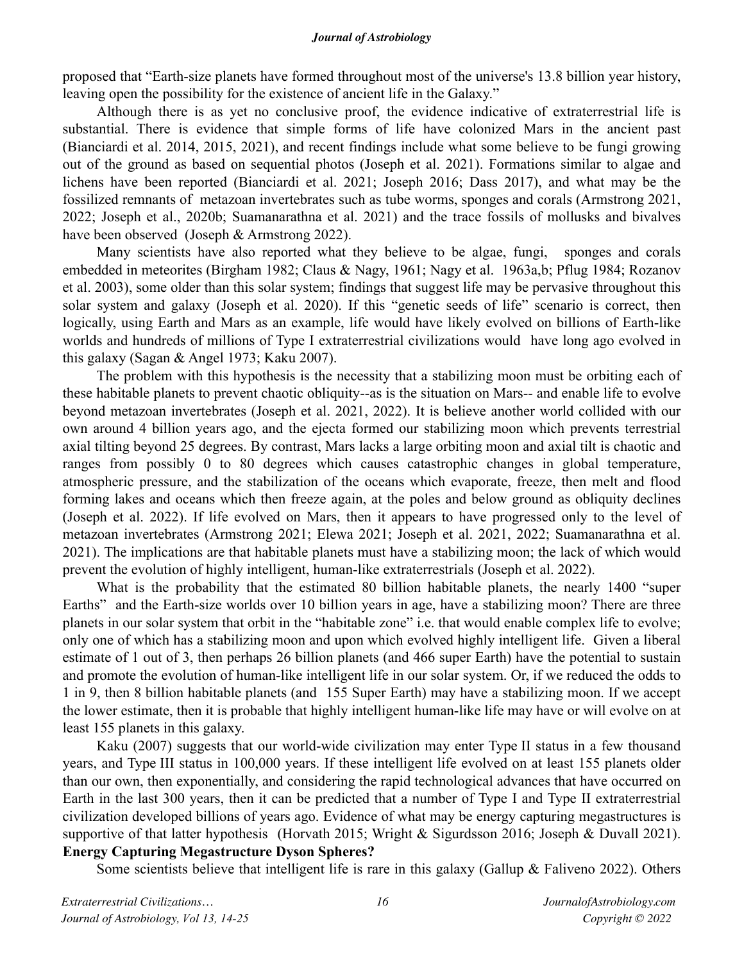proposed that "Earth-size planets have formed throughout most of the universe's 13.8 billion year history, leaving open the possibility for the existence of ancient life in the Galaxy."

Although there is as yet no conclusive proof, the evidence indicative of extraterrestrial life is substantial. There is evidence that simple forms of life have colonized Mars in the ancient past (Bianciardi et al. 2014, 2015, 2021), and recent findings include what some believe to be fungi growing out of the ground as based on sequential photos (Joseph et al. 2021). Formations similar to algae and lichens have been reported (Bianciardi et al. 2021; Joseph 2016; Dass 2017), and what may be the fossilized remnants of metazoan invertebrates such as tube worms, sponges and corals (Armstrong 2021, 2022; Joseph et al., 2020b; Suamanarathna et al. 2021) and the trace fossils of mollusks and bivalves have been observed (Joseph & Armstrong 2022).

Many scientists have also reported what they believe to be algae, fungi, sponges and corals embedded in meteorites (Birgham 1982; Claus & Nagy, 1961; Nagy et al. 1963a,b; Pflug 1984; Rozanov et al. 2003), some older than this solar system; findings that suggest life may be pervasive throughout this solar system and galaxy (Joseph et al. 2020). If this "genetic seeds of life" scenario is correct, then logically, using Earth and Mars as an example, life would have likely evolved on billions of Earth-like worlds and hundreds of millions of Type I extraterrestrial civilizations would have long ago evolved in this galaxy (Sagan & Angel 1973; Kaku 2007).

The problem with this hypothesis is the necessity that a stabilizing moon must be orbiting each of these habitable planets to prevent chaotic obliquity--as is the situation on Mars-- and enable life to evolve beyond metazoan invertebrates (Joseph et al. 2021, 2022). It is believe another world collided with our own around 4 billion years ago, and the ejecta formed our stabilizing moon which prevents terrestrial axial tilting beyond 25 degrees. By contrast, Mars lacks a large orbiting moon and axial tilt is chaotic and ranges from possibly 0 to 80 degrees which causes catastrophic changes in global temperature, atmospheric pressure, and the stabilization of the oceans which evaporate, freeze, then melt and flood forming lakes and oceans which then freeze again, at the poles and below ground as obliquity declines (Joseph et al. 2022). If life evolved on Mars, then it appears to have progressed only to the level of metazoan invertebrates (Armstrong 2021; Elewa 2021; Joseph et al. 2021, 2022; Suamanarathna et al. 2021). The implications are that habitable planets must have a stabilizing moon; the lack of which would prevent the evolution of highly intelligent, human-like extraterrestrials (Joseph et al. 2022).

What is the probability that the estimated 80 billion habitable planets, the nearly 1400 "super Earths" and the Earth-size worlds over 10 billion years in age, have a stabilizing moon? There are three planets in our solar system that orbit in the "habitable zone" i.e. that would enable complex life to evolve; only one of which has a stabilizing moon and upon which evolved highly intelligent life. Given a liberal estimate of 1 out of 3, then perhaps 26 billion planets (and 466 super Earth) have the potential to sustain and promote the evolution of human-like intelligent life in our solar system. Or, if we reduced the odds to 1 in 9, then 8 billion habitable planets (and 155 Super Earth) may have a stabilizing moon. If we accept the lower estimate, then it is probable that highly intelligent human-like life may have or will evolve on at least 155 planets in this galaxy.

Kaku (2007) suggests that our world-wide civilization may enter Type II status in a few thousand years, and Type III status in 100,000 years. If these intelligent life evolved on at least 155 planets older than our own, then exponentially, and considering the rapid technological advances that have occurred on Earth in the last 300 years, then it can be predicted that a number of Type I and Type II extraterrestrial civilization developed billions of years ago. Evidence of what may be energy capturing megastructures is supportive of that latter hypothesis (Horvath 2015; Wright & Sigurdsson 2016; Joseph & Duvall 2021). **Energy Capturing Megastructure Dyson Spheres?** 

Some scientists believe that intelligent life is rare in this galaxy (Gallup & Faliveno 2022). Others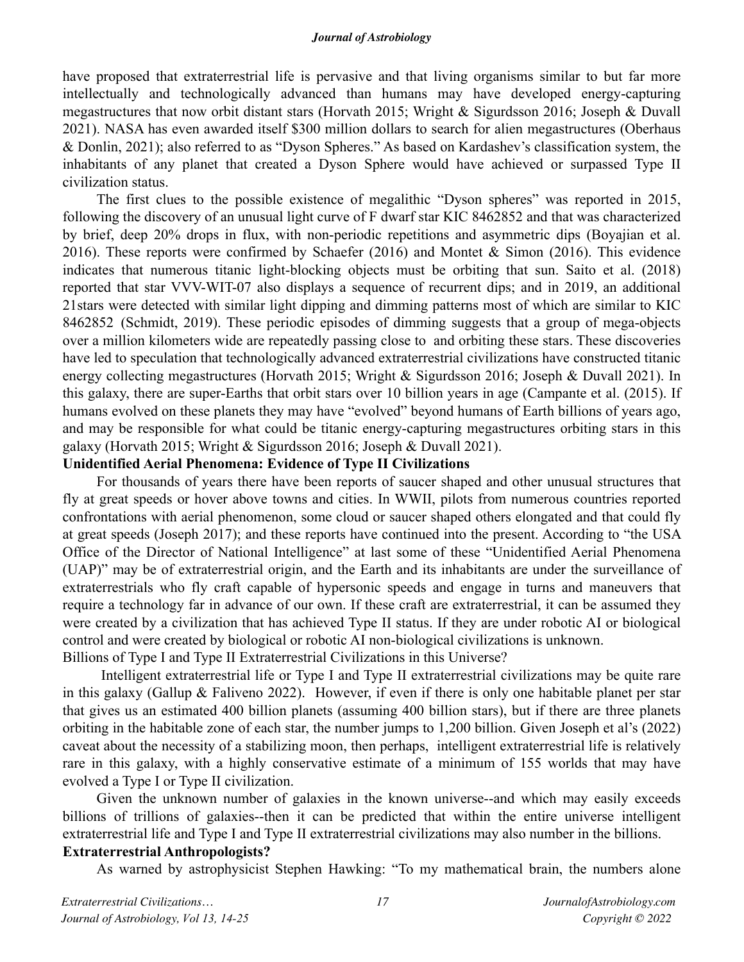have proposed that extraterrestrial life is pervasive and that living organisms similar to but far more intellectually and technologically advanced than humans may have developed energy-capturing megastructures that now orbit distant stars (Horvath 2015; Wright & Sigurdsson 2016; Joseph & Duvall 2021). NASA has even awarded itself \$300 million dollars to search for alien megastructures (Oberhaus & Donlin, 2021); also referred to as "Dyson Spheres." As based on Kardashev's classification system, the inhabitants of any planet that created a Dyson Sphere would have achieved or surpassed Type II civilization status.

The first clues to the possible existence of megalithic "Dyson spheres" was reported in 2015, following the discovery of an unusual light curve of F dwarf star KIC 8462852 and that was characterized by brief, deep 20% drops in flux, with non-periodic repetitions and asymmetric dips (Boyajian et al. 2016). These reports were confirmed by Schaefer (2016) and Montet & Simon (2016). This evidence indicates that numerous titanic light-blocking objects must be orbiting that sun. Saito et al. (2018) reported that star VVV-WIT-07 also displays a sequence of recurrent dips; and in 2019, an additional 21stars were detected with similar light dipping and dimming patterns most of which are similar to KIC 8462852 (Schmidt, 2019). These periodic episodes of dimming suggests that a group of mega-objects over a million kilometers wide are repeatedly passing close to and orbiting these stars. These discoveries have led to speculation that technologically advanced extraterrestrial civilizations have constructed titanic energy collecting megastructures (Horvath 2015; Wright & Sigurdsson 2016; Joseph & Duvall 2021). In this galaxy, there are super-Earths that orbit stars over 10 billion years in age (Campante et al. (2015). If humans evolved on these planets they may have "evolved" beyond humans of Earth billions of years ago, and may be responsible for what could be titanic energy-capturing megastructures orbiting stars in this galaxy (Horvath 2015; Wright & Sigurdsson 2016; Joseph & Duvall 2021).

# **Unidentified Aerial Phenomena: Evidence of Type II Civilizations**

For thousands of years there have been reports of saucer shaped and other unusual structures that fly at great speeds or hover above towns and cities. In WWII, pilots from numerous countries reported confrontations with aerial phenomenon, some cloud or saucer shaped others elongated and that could fly at great speeds (Joseph 2017); and these reports have continued into the present. According to "the USA Office of the Director of National Intelligence" at last some of these "Unidentified Aerial Phenomena (UAP)" may be of extraterrestrial origin, and the Earth and its inhabitants are under the surveillance of extraterrestrials who fly craft capable of hypersonic speeds and engage in turns and maneuvers that require a technology far in advance of our own. If these craft are extraterrestrial, it can be assumed they were created by a civilization that has achieved Type II status. If they are under robotic AI or biological control and were created by biological or robotic AI non-biological civilizations is unknown. Billions of Type I and Type II Extraterrestrial Civilizations in this Universe?

 Intelligent extraterrestrial life or Type I and Type II extraterrestrial civilizations may be quite rare in this galaxy (Gallup & Faliveno 2022). However, if even if there is only one habitable planet per star that gives us an estimated 400 billion planets (assuming 400 billion stars), but if there are three planets orbiting in the habitable zone of each star, the number jumps to 1,200 billion. Given Joseph et al's (2022) caveat about the necessity of a stabilizing moon, then perhaps, intelligent extraterrestrial life is relatively rare in this galaxy, with a highly conservative estimate of a minimum of 155 worlds that may have evolved a Type I or Type II civilization.

Given the unknown number of galaxies in the known universe--and which may easily exceeds billions of trillions of galaxies--then it can be predicted that within the entire universe intelligent extraterrestrial life and Type I and Type II extraterrestrial civilizations may also number in the billions. **Extraterrestrial Anthropologists?**

As warned by astrophysicist Stephen Hawking: "To my mathematical brain, the numbers alone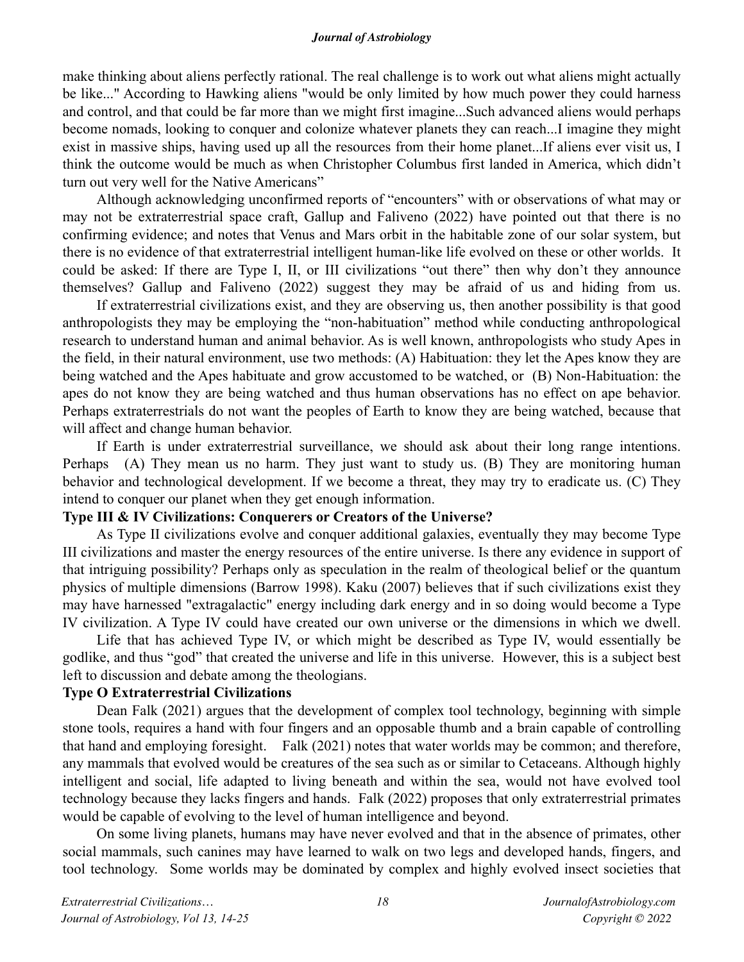make thinking about aliens perfectly rational. The real challenge is to work out what aliens might actually be like..." According to Hawking aliens "would be only limited by how much power they could harness and control, and that could be far more than we might first imagine...Such advanced aliens would perhaps become nomads, looking to conquer and colonize whatever planets they can reach...I imagine they might exist in massive ships, having used up all the resources from their home planet...If aliens ever visit us, I think the outcome would be much as when Christopher Columbus first landed in America, which didn't turn out very well for the Native Americans"

Although acknowledging unconfirmed reports of "encounters" with or observations of what may or may not be extraterrestrial space craft, Gallup and Faliveno (2022) have pointed out that there is no confirming evidence; and notes that Venus and Mars orbit in the habitable zone of our solar system, but there is no evidence of that extraterrestrial intelligent human-like life evolved on these or other worlds. It could be asked: If there are Type I, II, or III civilizations "out there" then why don't they announce themselves? Gallup and Faliveno (2022) suggest they may be afraid of us and hiding from us.

If extraterrestrial civilizations exist, and they are observing us, then another possibility is that good anthropologists they may be employing the "non-habituation" method while conducting anthropological research to understand human and animal behavior. As is well known, anthropologists who study Apes in the field, in their natural environment, use two methods: (A) Habituation: they let the Apes know they are being watched and the Apes habituate and grow accustomed to be watched, or (B) Non-Habituation: the apes do not know they are being watched and thus human observations has no effect on ape behavior. Perhaps extraterrestrials do not want the peoples of Earth to know they are being watched, because that will affect and change human behavior.

If Earth is under extraterrestrial surveillance, we should ask about their long range intentions. Perhaps (A) They mean us no harm. They just want to study us. (B) They are monitoring human behavior and technological development. If we become a threat, they may try to eradicate us. (C) They intend to conquer our planet when they get enough information.

### **Type III & IV Civilizations: Conquerers or Creators of the Universe?**

As Type II civilizations evolve and conquer additional galaxies, eventually they may become Type III civilizations and master the energy resources of the entire universe. Is there any evidence in support of that intriguing possibility? Perhaps only as speculation in the realm of theological belief or the quantum physics of multiple dimensions (Barrow 1998). Kaku (2007) believes that if such civilizations exist they may have harnessed "extragalactic" energy including dark energy and in so doing would become a Type IV civilization. A Type IV could have created our own universe or the dimensions in which we dwell.

Life that has achieved Type IV, or which might be described as Type IV, would essentially be godlike, and thus "god" that created the universe and life in this universe. However, this is a subject best left to discussion and debate among the theologians.

### **Type O Extraterrestrial Civilizations**

Dean Falk (2021) argues that the development of complex tool technology, beginning with simple stone tools, requires a hand with four fingers and an opposable thumb and a brain capable of controlling that hand and employing foresight. Falk (2021) notes that water worlds may be common; and therefore, any mammals that evolved would be creatures of the sea such as or similar to Cetaceans. Although highly intelligent and social, life adapted to living beneath and within the sea, would not have evolved tool technology because they lacks fingers and hands. Falk (2022) proposes that only extraterrestrial primates would be capable of evolving to the level of human intelligence and beyond.

On some living planets, humans may have never evolved and that in the absence of primates, other social mammals, such canines may have learned to walk on two legs and developed hands, fingers, and tool technology. Some worlds may be dominated by complex and highly evolved insect societies that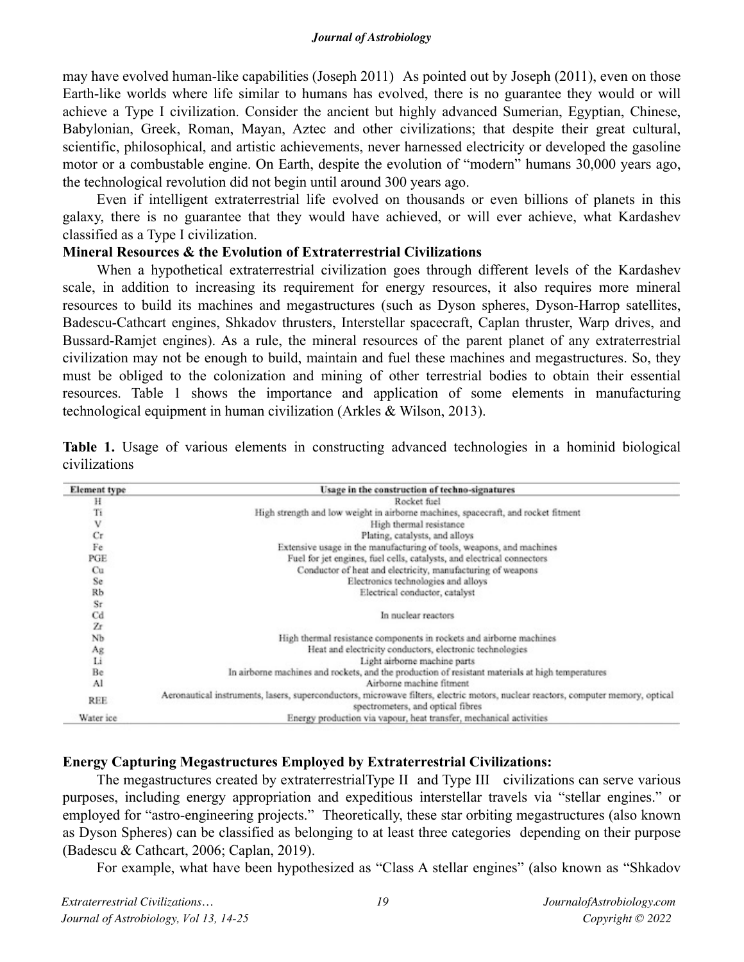may have evolved human-like capabilities (Joseph 2011) As pointed out by Joseph (2011), even on those Earth-like worlds where life similar to humans has evolved, there is no guarantee they would or will achieve a Type I civilization. Consider the ancient but highly advanced Sumerian, Egyptian, Chinese, Babylonian, Greek, Roman, Mayan, Aztec and other civilizations; that despite their great cultural, scientific, philosophical, and artistic achievements, never harnessed electricity or developed the gasoline motor or a combustable engine. On Earth, despite the evolution of "modern" humans 30,000 years ago, the technological revolution did not begin until around 300 years ago.

Even if intelligent extraterrestrial life evolved on thousands or even billions of planets in this galaxy, there is no guarantee that they would have achieved, or will ever achieve, what Kardashev classified as a Type I civilization.

### **Mineral Resources & the Evolution of Extraterrestrial Civilizations**

When a hypothetical extraterrestrial civilization goes through different levels of the Kardashev scale, in addition to increasing its requirement for energy resources, it also requires more mineral resources to build its machines and megastructures (such as Dyson spheres, Dyson-Harrop satellites, Badescu-Cathcart engines, Shkadov thrusters, Interstellar spacecraft, Caplan thruster, Warp drives, and Bussard-Ramjet engines). As a rule, the mineral resources of the parent planet of any extraterrestrial civilization may not be enough to build, maintain and fuel these machines and megastructures. So, they must be obliged to the colonization and mining of other terrestrial bodies to obtain their essential resources. Table 1 shows the importance and application of some elements in manufacturing technological equipment in human civilization (Arkles & Wilson, 2013).

| Element type | Usage in the construction of techno-signatures                                                                                                                         |  |
|--------------|------------------------------------------------------------------------------------------------------------------------------------------------------------------------|--|
| н            | Rocket fuel                                                                                                                                                            |  |
| Ti           | High strength and low weight in airborne machines, spacecraft, and rocket fitment                                                                                      |  |
| v            | High thermal resistance                                                                                                                                                |  |
| Cr           | Plating, catalysts, and alloys                                                                                                                                         |  |
| Fe           | Extensive usage in the manufacturing of tools, weapons, and machines                                                                                                   |  |
| PGE          | Fuel for jet engines, fuel cells, catalysts, and electrical connectors                                                                                                 |  |
| Cu           | Conductor of heat and electricity, manufacturing of weapons                                                                                                            |  |
| Se           | Electronics technologies and alloys                                                                                                                                    |  |
| Rb           | Electrical conductor, catalyst                                                                                                                                         |  |
| Sr           |                                                                                                                                                                        |  |
| Cd           | In nuclear reactors                                                                                                                                                    |  |
| Zr           |                                                                                                                                                                        |  |
| NЪ           | High thermal resistance components in rockets and airborne machines                                                                                                    |  |
| Ag           | Heat and electricity conductors, electronic technologies                                                                                                               |  |
| Li           | Light airborne machine parts                                                                                                                                           |  |
| Be           | In airborne machines and rockets, and the production of resistant materials at high temperatures                                                                       |  |
| Al           | Airborne machine fitment                                                                                                                                               |  |
| REE          | Aeronautical instruments, lasers, superconductors, microwave filters, electric motors, nuclear reactors, computer memory, optical<br>spectrometers, and optical fibres |  |
| Water ice    | Energy production via vapour, heat transfer, mechanical activities                                                                                                     |  |

**Table 1.** Usage of various elements in constructing advanced technologies in a hominid biological civilizations

# **Energy Capturing Megastructures Employed by Extraterrestrial Civilizations:**

The megastructures created by extraterrestrialType II and Type III civilizations can serve various purposes, including energy appropriation and expeditious interstellar travels via "stellar engines." or employed for "astro-engineering projects." Theoretically, these star orbiting megastructures (also known as Dyson Spheres) can be classified as belonging to at least three categories depending on their purpose (Badescu & Cathcart, 2006; Caplan, 2019).

For example, what have been hypothesized as "Class A stellar engines" (also known as "Shkadov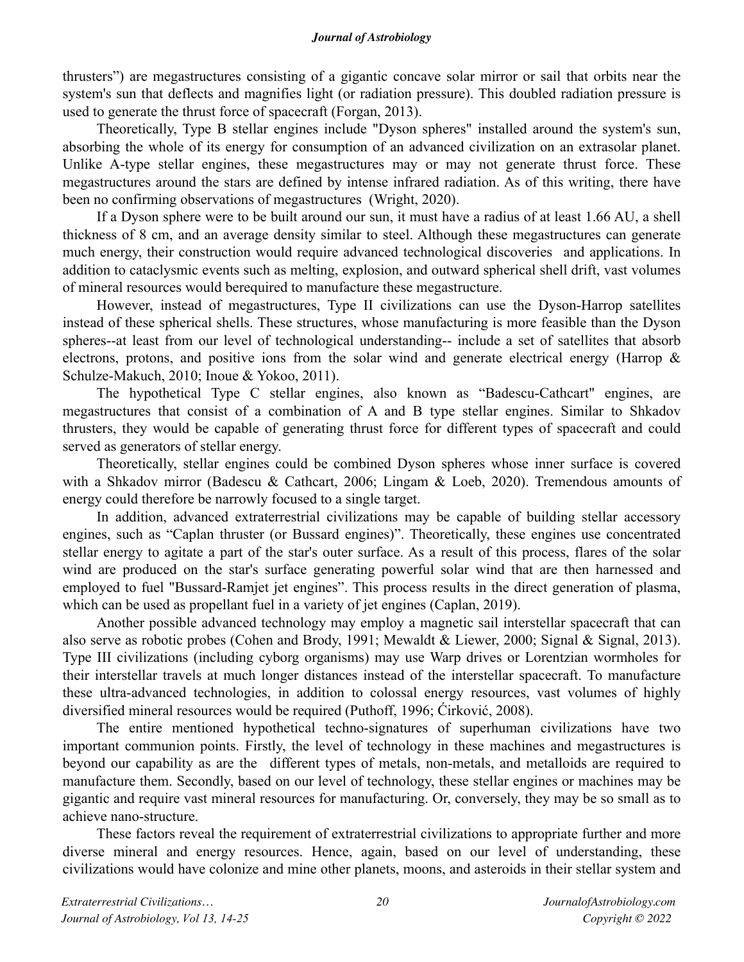thrusters") are megastructures consisting of a gigantic concave solar mirror or sail that orbits near the system's sun that deflects and magnifies light (or radiation pressure). This doubled radiation pressure is used to generate the thrust force of spacecraft (Forgan, 2013).

Theoretically, Type B stellar engines include "Dyson spheres" installed around the system's sun, absorbing the whole of its energy for consumption of an advanced civilization on an extrasolar planet. Unlike A-type stellar engines, these megastructures may or may not generate thrust force. These megastructures around the stars are defined by intense infrared radiation. As of this writing, there have been no confirming observations of megastructures (Wright, 2020).

If a Dyson sphere were to be built around our sun, it must have a radius of at least 1.66 AU, a shell thickness of 8 cm, and an average density similar to steel. Although these megastructures can generate much energy, their construction would require advanced technological discoveries and applications. In addition to cataclysmic events such as melting, explosion, and outward spherical shell drift, vast volumes of mineral resources would berequired to manufacture these megastructure.

However, instead of megastructures, Type II civilizations can use the Dyson-Harrop satellites instead of these spherical shells. These structures, whose manufacturing is more feasible than the Dyson spheres--at least from our level of technological understanding-- include a set of satellites that absorb electrons, protons, and positive ions from the solar wind and generate electrical energy (Harrop & Schulze-Makuch, 2010; Inoue & Yokoo, 2011).

The hypothetical Type C stellar engines, also known as "Badescu-Cathcart" engines, are megastructures that consist of a combination of A and B type stellar engines. Similar to Shkadov thrusters, they would be capable of generating thrust force for different types of spacecraft and could served as generators of stellar energy.

Theoretically, stellar engines could be combined Dyson spheres whose inner surface is covered with a Shkadov mirror (Badescu & Cathcart, 2006; Lingam & Loeb, 2020). Tremendous amounts of energy could therefore be narrowly focused to a single target.

In addition, advanced extraterrestrial civilizations may be capable of building stellar accessory engines, such as "Caplan thruster (or Bussard engines)". Theoretically, these engines use concentrated stellar energy to agitate a part of the star's outer surface. As a result of this process, flares of the solar wind are produced on the star's surface generating powerful solar wind that are then harnessed and employed to fuel "Bussard-Ramjet jet engines". This process results in the direct generation of plasma, which can be used as propellant fuel in a variety of jet engines (Caplan, 2019).

Another possible advanced technology may employ a magnetic sail interstellar spacecraft that can also serve as robotic probes (Cohen and Brody, 1991; Mewaldt & Liewer, 2000; Signal & Signal, 2013). Type III civilizations (including cyborg organisms) may use Warp drives or Lorentzian wormholes for their interstellar travels at much longer distances instead of the interstellar spacecraft. To manufacture these ultra-advanced technologies, in addition to colossal energy resources, vast volumes of highly diversified mineral resources would be required (Puthoff, 1996; Ćirković, 2008).

The entire mentioned hypothetical techno-signatures of superhuman civilizations have two important communion points. Firstly, the level of technology in these machines and megastructures is beyond our capability as are the different types of metals, non-metals, and metalloids are required to manufacture them. Secondly, based on our level of technology, these stellar engines or machines may be gigantic and require vast mineral resources for manufacturing. Or, conversely, they may be so small as to achieve nano-structure.

These factors reveal the requirement of extraterrestrial civilizations to appropriate further and more diverse mineral and energy resources. Hence, again, based on our level of understanding, these civilizations would have colonize and mine other planets, moons, and asteroids in their stellar system and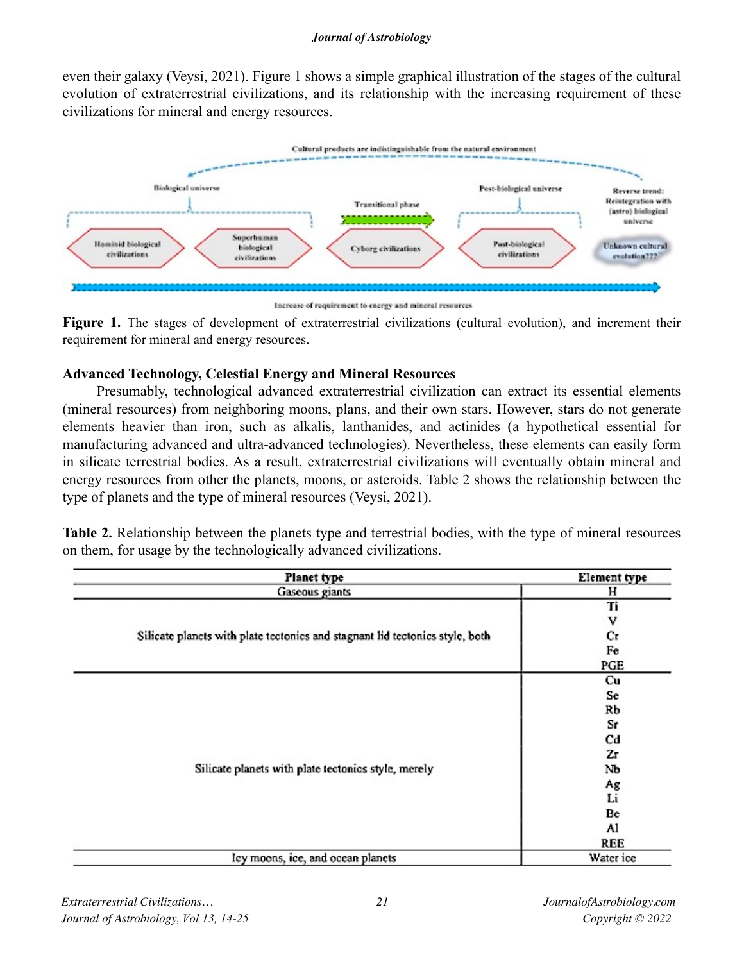even their galaxy (Veysi, 2021). Figure 1 shows a simple graphical illustration of the stages of the cultural evolution of extraterrestrial civilizations, and its relationship with the increasing requirement of these civilizations for mineral and energy resources.



Increase of requirement to energy and mineral resources

**Figure 1.** The stages of development of extraterrestrial civilizations (cultural evolution), and increment their requirement for mineral and energy resources.

# **Advanced Technology, Celestial Energy and Mineral Resources**

Presumably, technological advanced extraterrestrial civilization can extract its essential elements (mineral resources) from neighboring moons, plans, and their own stars. However, stars do not generate elements heavier than iron, such as alkalis, lanthanides, and actinides (a hypothetical essential for manufacturing advanced and ultra-advanced technologies). Nevertheless, these elements can easily form in silicate terrestrial bodies. As a result, extraterrestrial civilizations will eventually obtain mineral and energy resources from other the planets, moons, or asteroids. Table 2 shows the relationship between the type of planets and the type of mineral resources (Veysi, 2021).

**Table 2.** Relationship between the planets type and terrestrial bodies, with the type of mineral resources on them, for usage by the technologically advanced civilizations.

| Planet type                                                                  | Element type |
|------------------------------------------------------------------------------|--------------|
| Gaseous giants                                                               | н            |
|                                                                              | Ti           |
|                                                                              | v            |
| Silicate planets with plate tectonics and stagnant lid tectonics style, both | Сr           |
|                                                                              | Fe           |
|                                                                              | PGE          |
|                                                                              | Cu           |
|                                                                              | Se           |
|                                                                              | Rb           |
|                                                                              | Sr           |
|                                                                              | Cd           |
|                                                                              | Zг           |
| Silicate planets with plate tectonics style, merely                          | Nb           |
|                                                                              | Ag           |
|                                                                              | Li           |
|                                                                              | Be           |
|                                                                              | Al           |
|                                                                              | REE          |
| Icy moons, ice, and ocean planets                                            | Water ice    |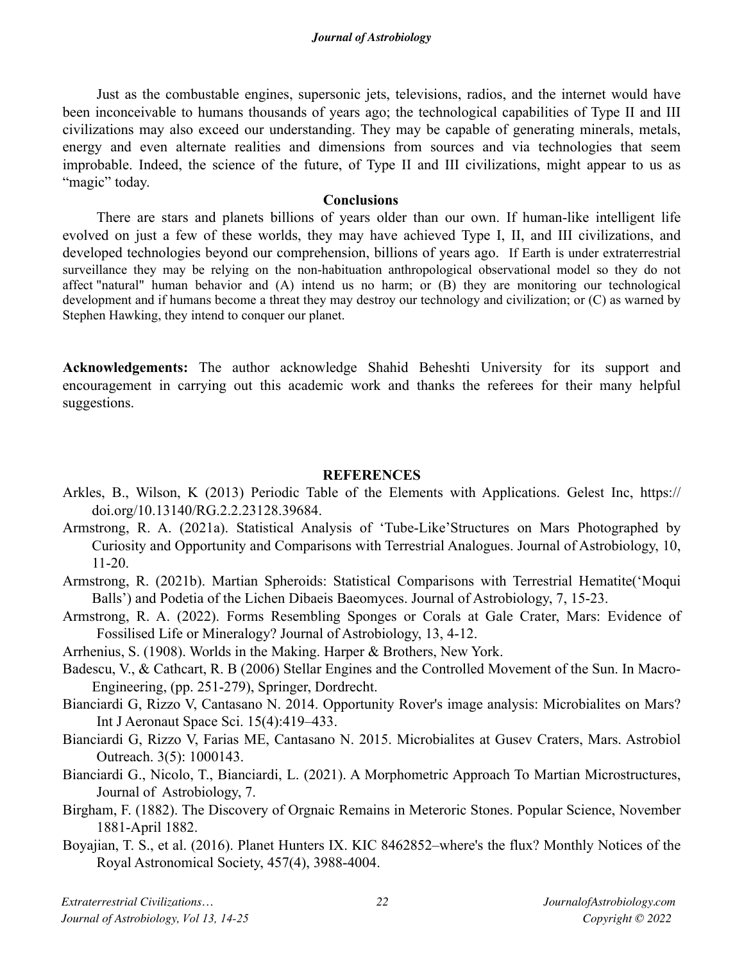Just as the combustable engines, supersonic jets, televisions, radios, and the internet would have been inconceivable to humans thousands of years ago; the technological capabilities of Type II and III civilizations may also exceed our understanding. They may be capable of generating minerals, metals, energy and even alternate realities and dimensions from sources and via technologies that seem improbable. Indeed, the science of the future, of Type II and III civilizations, might appear to us as "magic" today.

### **Conclusions**

There are stars and planets billions of years older than our own. If human-like intelligent life evolved on just a few of these worlds, they may have achieved Type I, II, and III civilizations, and developed technologies beyond our comprehension, billions of years ago. If Earth is under extraterrestrial surveillance they may be relying on the non-habituation anthropological observational model so they do not affect "natural" human behavior and (A) intend us no harm; or (B) they are monitoring our technological development and if humans become a threat they may destroy our technology and civilization; or (C) as warned by Stephen Hawking, they intend to conquer our planet.

**Acknowledgements:** The author acknowledge Shahid Beheshti University for its support and encouragement in carrying out this academic work and thanks the referees for their many helpful suggestions.

# **REFERENCES**

- Arkles, B., Wilson, K (2013) Periodic Table of the Elements with Applications. Gelest Inc, https:// doi.org/10.13140/RG.2.2.23128.39684.
- Armstrong, R. A. (2021a). Statistical Analysis of 'Tube-Like'Structures on Mars Photographed by Curiosity and Opportunity and Comparisons with Terrestrial Analogues. Journal of Astrobiology, 10, 11-20.

Armstrong, R. (2021b). Martian Spheroids: Statistical Comparisons with Terrestrial Hematite('Moqui Balls') and Podetia of the Lichen Dibaeis Baeomyces. Journal of Astrobiology, 7, 15-23.

Armstrong, R. A. (2022). Forms Resembling Sponges or Corals at Gale Crater, Mars: Evidence of Fossilised Life or Mineralogy? Journal of Astrobiology, 13, 4-12.

Arrhenius, S. (1908). Worlds in the Making. Harper & Brothers, New York.

- Badescu, V., & Cathcart, R. B (2006) Stellar Engines and the Controlled Movement of the Sun. In Macro-Engineering, (pp. 251-279), Springer, Dordrecht.
- Bianciardi G, Rizzo V, Cantasano N. 2014. Opportunity Rover's image analysis: Microbialites on Mars? Int J Aeronaut Space Sci. 15(4):419–433.
- Bianciardi G, Rizzo V, Farias ME, Cantasano N. 2015. Microbialites at Gusev Craters, Mars. Astrobiol Outreach. 3(5): 1000143.
- Bianciardi G., Nicolo, T., Bianciardi, L. (2021). A Morphometric Approach To Martian Microstructures, Journal of Astrobiology, 7.
- Birgham, F. (1882). The Discovery of Orgnaic Remains in Meteroric Stones. Popular Science, November 1881-April 1882.
- Boyajian, T. S., et al. (2016). Planet Hunters IX. KIC 8462852–where's the flux? Monthly Notices of the Royal Astronomical Society, 457(4), 3988-4004.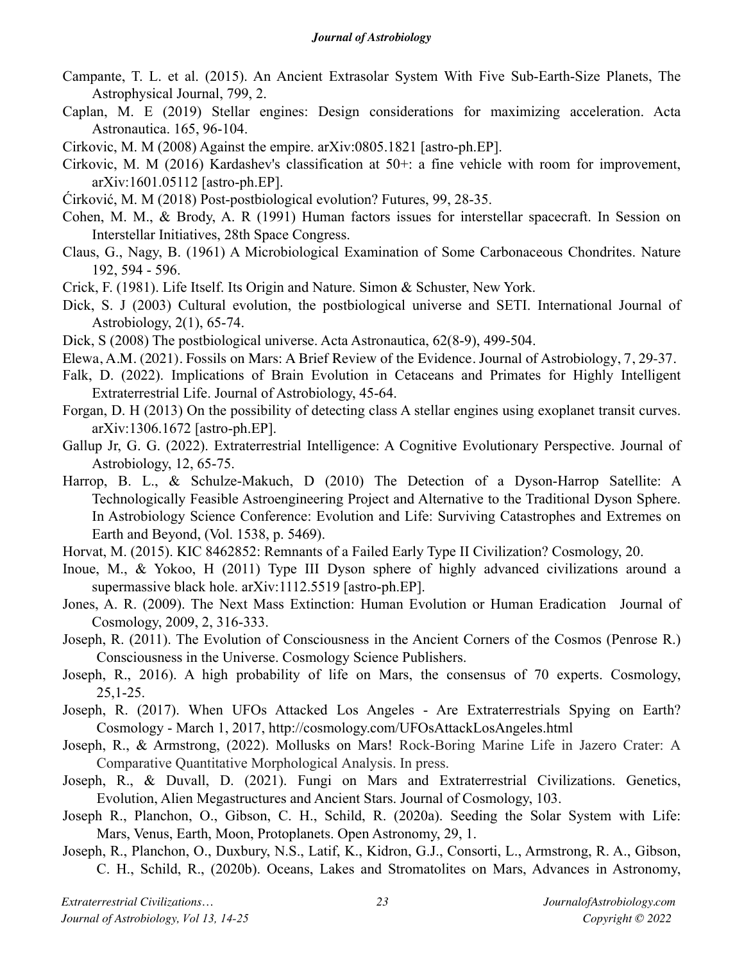- Campante, T. L. et al. (2015). An Ancient Extrasolar System With Five Sub-Earth-Size Planets, The Astrophysical Journal, 799, 2.
- Caplan, M. E (2019) Stellar engines: Design considerations for maximizing acceleration. Acta Astronautica. 165, 96-104.
- Cirkovic, M. M (2008) Against the empire. arXiv:0805.1821 [astro-ph.EP].
- Cirkovic, M. M (2016) Kardashev's classification at 50+: a fine vehicle with room for improvement, arXiv:1601.05112 [astro-ph.EP].
- Ćirković, M. M (2018) Post-postbiological evolution? Futures, 99, 28-35.
- Cohen, M. M., & Brody, A. R (1991) Human factors issues for interstellar spacecraft. In Session on Interstellar Initiatives, 28th Space Congress.
- Claus, G., Nagy, B. (1961) A Microbiological Examination of Some Carbonaceous Chondrites. Nature 192, 594 - 596.
- Crick, F. (1981). Life Itself. Its Origin and Nature. Simon & Schuster, New York.
- Dick, S. J (2003) Cultural evolution, the postbiological universe and SETI. International Journal of Astrobiology, 2(1), 65-74.
- Dick, S (2008) The postbiological universe. Acta Astronautica, 62(8-9), 499-504.
- Elewa, A.M. (2021). Fossils on Mars: A Brief Review of the Evidence. Journal of Astrobiology, 7, 29-37.
- Falk, D. (2022). Implications of Brain Evolution in Cetaceans and Primates for Highly Intelligent Extraterrestrial Life. Journal of Astrobiology, 45-64.
- Forgan, D. H (2013) On the possibility of detecting class A stellar engines using exoplanet transit curves. arXiv:1306.1672 [astro-ph.EP].
- Gallup Jr, G. G. (2022). Extraterrestrial Intelligence: A Cognitive Evolutionary Perspective. Journal of Astrobiology, 12, 65-75.
- Harrop, B. L., & Schulze-Makuch, D (2010) The Detection of a Dyson-Harrop Satellite: A Technologically Feasible Astroengineering Project and Alternative to the Traditional Dyson Sphere. In Astrobiology Science Conference: Evolution and Life: Surviving Catastrophes and Extremes on Earth and Beyond, (Vol. 1538, p. 5469).
- Horvat, M. (2015). KIC 8462852: Remnants of a Failed Early Type II Civilization? Cosmology, 20.
- Inoue, M., & Yokoo, H (2011) Type III Dyson sphere of highly advanced civilizations around a supermassive black hole. arXiv:1112.5519 [astro-ph.EP].
- Jones, A. R. (2009). The Next Mass Extinction: Human Evolution or Human Eradication Journal of Cosmology, 2009, 2, 316-333.
- Joseph, R. (2011). The Evolution of Consciousness in the Ancient Corners of the Cosmos (Penrose R.) Consciousness in the Universe. Cosmology Science Publishers.
- Joseph, R., 2016). A high probability of life on Mars, the consensus of 70 experts. Cosmology, 25,1-25.
- Joseph, R. (2017). When UFOs Attacked Los Angeles Are Extraterrestrials Spying on Earth? Cosmology - March 1, 2017,<http://cosmology.com/UFOsAttackLosAngeles.html>
- Joseph, R., & Armstrong, (2022). Mollusks on Mars! Rock-Boring Marine Life in Jazero Crater: A Comparative Quantitative Morphological Analysis. In press.
- Joseph, R., & Duvall, D. (2021). Fungi on Mars and Extraterrestrial Civilizations. Genetics, Evolution, Alien Megastructures and Ancient Stars. Journal of Cosmology, 103.
- Joseph R., Planchon, O., Gibson, C. H., Schild, R. (2020a). Seeding the Solar System with Life: Mars, Venus, Earth, Moon, Protoplanets. Open Astronomy, 29, 1.
- Joseph, R., Planchon, O., Duxbury, N.S., Latif, K., Kidron, G.J., Consorti, L., Armstrong, R. A., Gibson, C. H., Schild, R., (2020b). Oceans, Lakes and Stromatolites on Mars, Advances in Astronomy,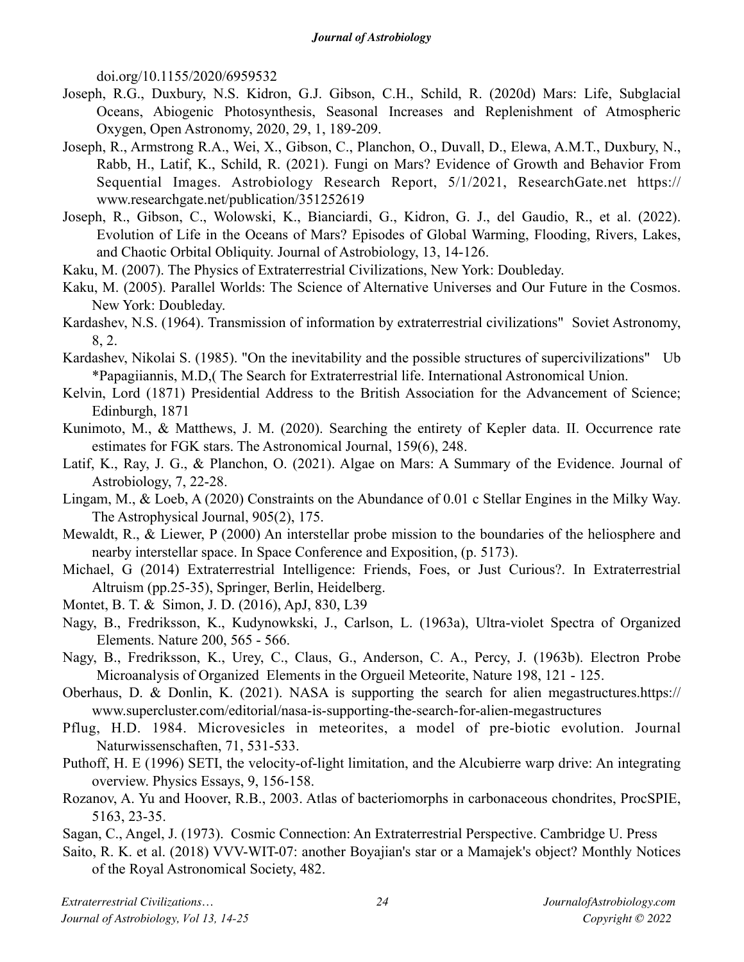doi.org/10.1155/2020/6959532

- Joseph, R.G., Duxbury, N.S. Kidron, G.J. Gibson, C.H., Schild, R. (2020d) Mars: Life, Subglacial Oceans, Abiogenic Photosynthesis, Seasonal Increases and Replenishment of Atmospheric Oxygen, Open Astronomy, 2020, 29, 1, 189-209.
- Joseph, R., Armstrong R.A., Wei, X., Gibson, C., Planchon, O., Duvall, D., Elewa, A.M.T., Duxbury, N., Rabb, H., Latif, K., Schild, R. (2021). Fungi on Mars? Evidence of Growth and Behavior From Sequential Images. Astrobiology Research Report, 5/1/2021, ResearchGate.net https:// www.researchgate.net/publication/351252619
- Joseph, R., Gibson, C., Wolowski, K., Bianciardi, G., Kidron, G. J., del Gaudio, R., et al. (2022). Evolution of Life in the Oceans of Mars? Episodes of Global Warming, Flooding, Rivers, Lakes, and Chaotic Orbital Obliquity. Journal of Astrobiology, 13, 14-126.
- Kaku, M. (2007). The Physics of Extraterrestrial Civilizations, New York: Doubleday.
- Kaku, M. (2005). Parallel Worlds: The Science of Alternative Universes and Our Future in the Cosmos. New York: Doubleday.
- Kardashev, N.S. (1964). Transmission of information by extraterrestrial civilizations" Soviet Astronomy, 8, 2.
- Kardashev, Nikolai S. (1985). "On the inevitability and the possible structures of supercivilizations" Ub \*Papagiiannis, M.D,( The Search for Extraterrestrial life. International Astronomical Union.
- Kelvin, Lord (1871) Presidential Address to the British Association for the Advancement of Science; Edinburgh, 1871
- Kunimoto, M., & Matthews, J. M. (2020). Searching the entirety of Kepler data. II. Occurrence rate estimates for FGK stars. The Astronomical Journal, 159(6), 248.
- Latif, K., Ray, J. G., & Planchon, O. (2021). Algae on Mars: A Summary of the Evidence. Journal of Astrobiology, 7, 22-28.
- Lingam, M., & Loeb, A (2020) Constraints on the Abundance of 0.01 c Stellar Engines in the Milky Way. The Astrophysical Journal, 905(2), 175.
- Mewaldt, R., & Liewer, P (2000) An interstellar probe mission to the boundaries of the heliosphere and nearby interstellar space. In Space Conference and Exposition, (p. 5173).
- Michael, G (2014) Extraterrestrial Intelligence: Friends, Foes, or Just Curious?. In Extraterrestrial Altruism (pp.25-35), Springer, Berlin, Heidelberg.
- Montet, B. T. & Simon, J. D. (2016), ApJ, 830, L39
- Nagy, B., Fredriksson, K., Kudynowkski, J., Carlson, L. (1963a), Ultra-violet Spectra of Organized Elements. Nature 200, 565 - 566.
- Nagy, B., Fredriksson, K., Urey, C., Claus, G., Anderson, C. A., Percy, J. (1963b). Electron Probe Microanalysis of Organized Elements in the Orgueil Meteorite, Nature 198, 121 - 125.
- Oberhaus, D. & Donlin, K. (2021). NASA is supporting the search for alien megastructures.https:// www.supercluster.com/editorial/nasa-is-supporting-the-search-for-alien-megastructures
- Pflug, H.D. 1984. Microvesicles in meteorites, a model of pre-biotic evolution. Journal Naturwissenschaften, 71, 531-533.
- Puthoff, H. E (1996) SETI, the velocity-of-light limitation, and the Alcubierre warp drive: An integrating overview. Physics Essays, 9, 156-158.
- Rozanov, A. Yu and Hoover, R.B., 2003. Atlas of bacteriomorphs in carbonaceous chondrites, ProcSPIE, 5163, 23-35.
- Sagan, C., Angel, J. (1973). Cosmic Connection: An Extraterrestrial Perspective. Cambridge U. Press
- Saito, R. K. et al. (2018) VVV-WIT-07: another Boyajian's star or a Mamajek's object? Monthly Notices of the Royal Astronomical Society, 482.